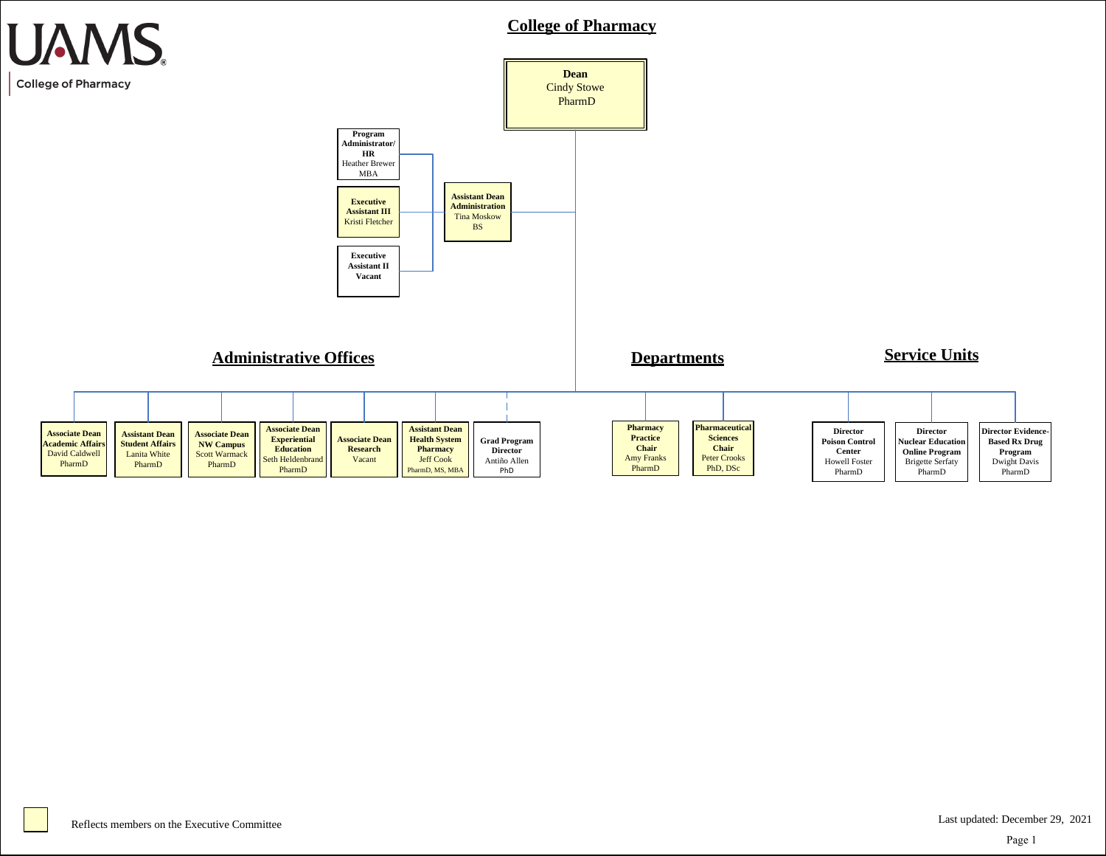

Page 1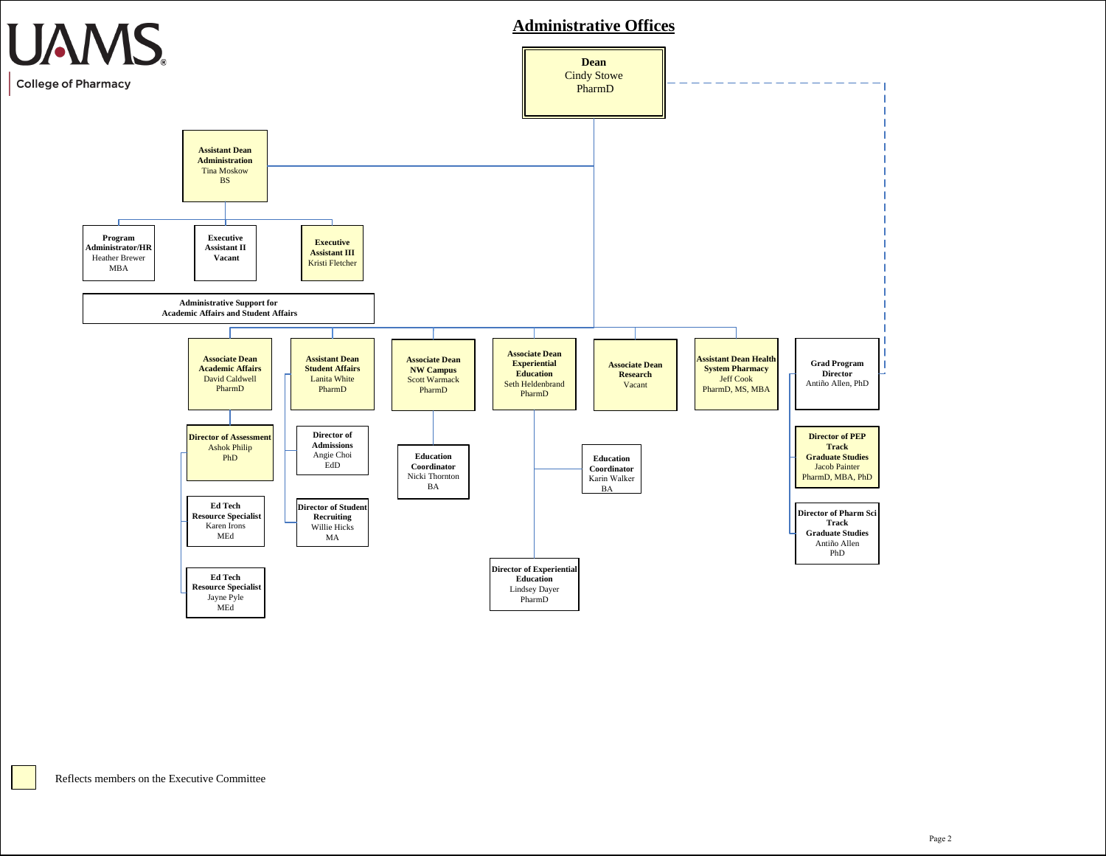

### **Administrative Offices**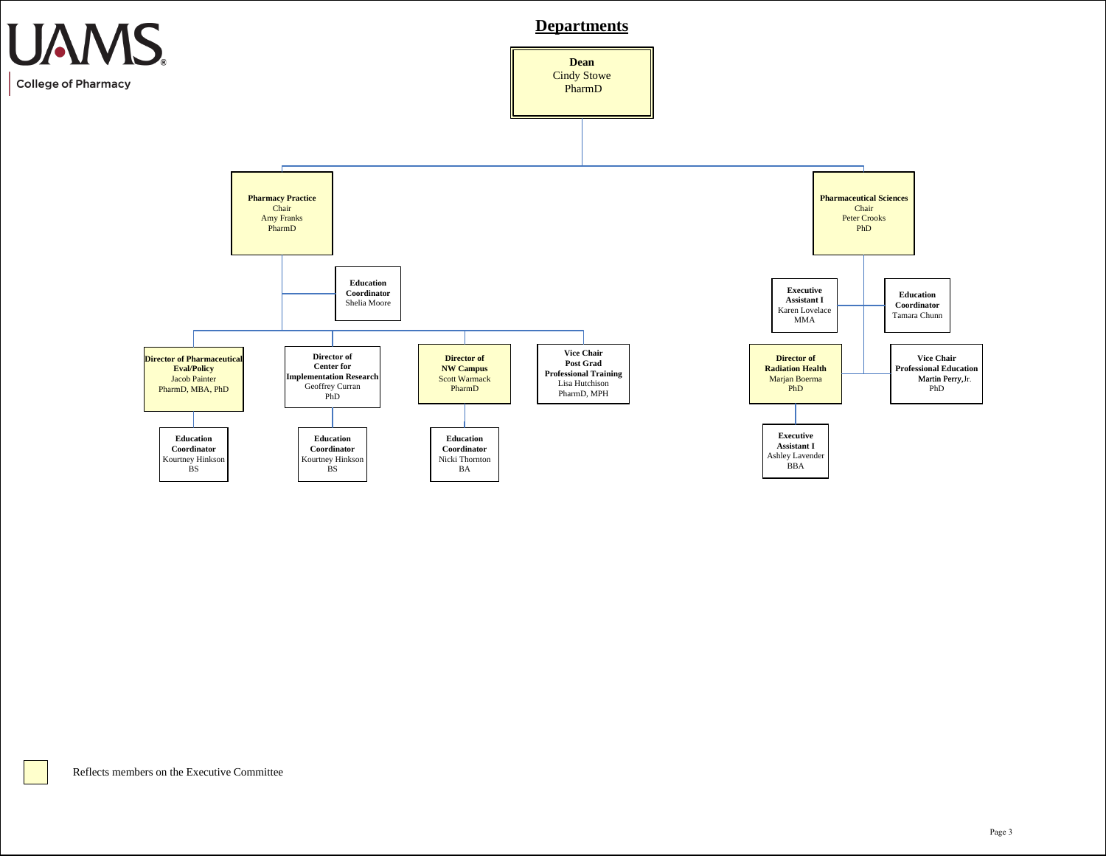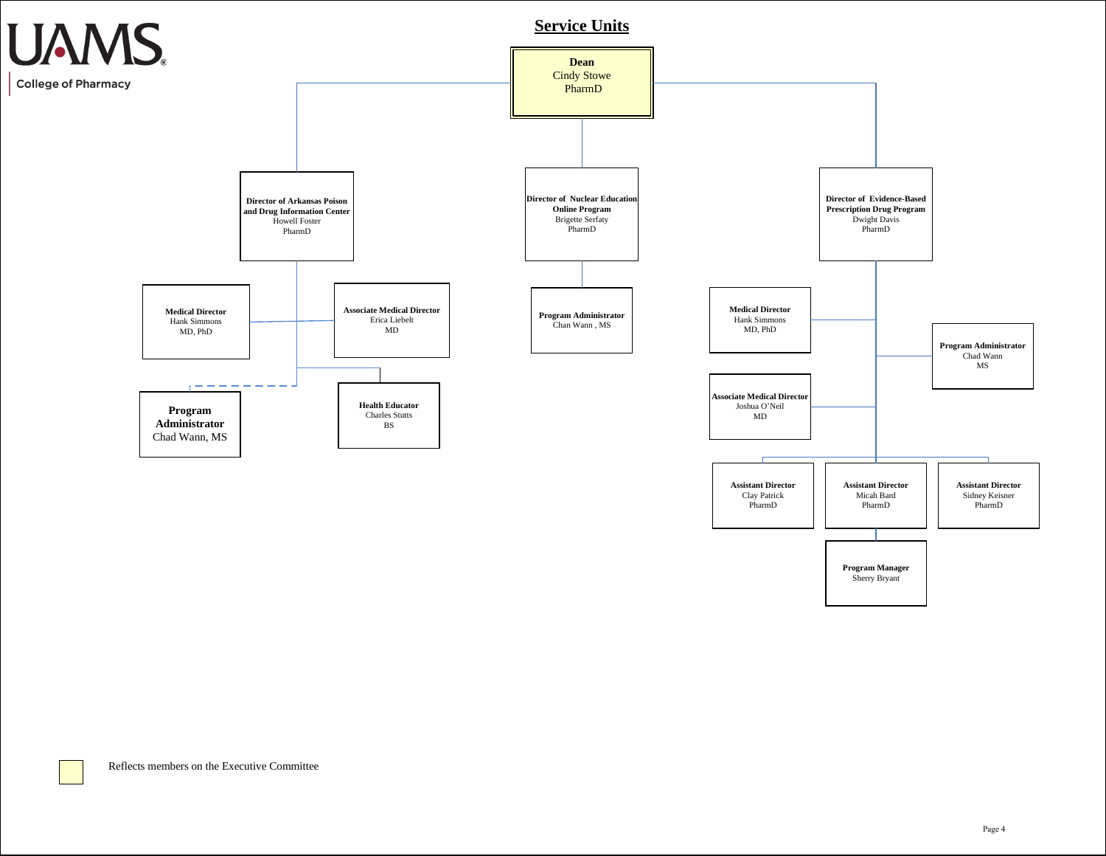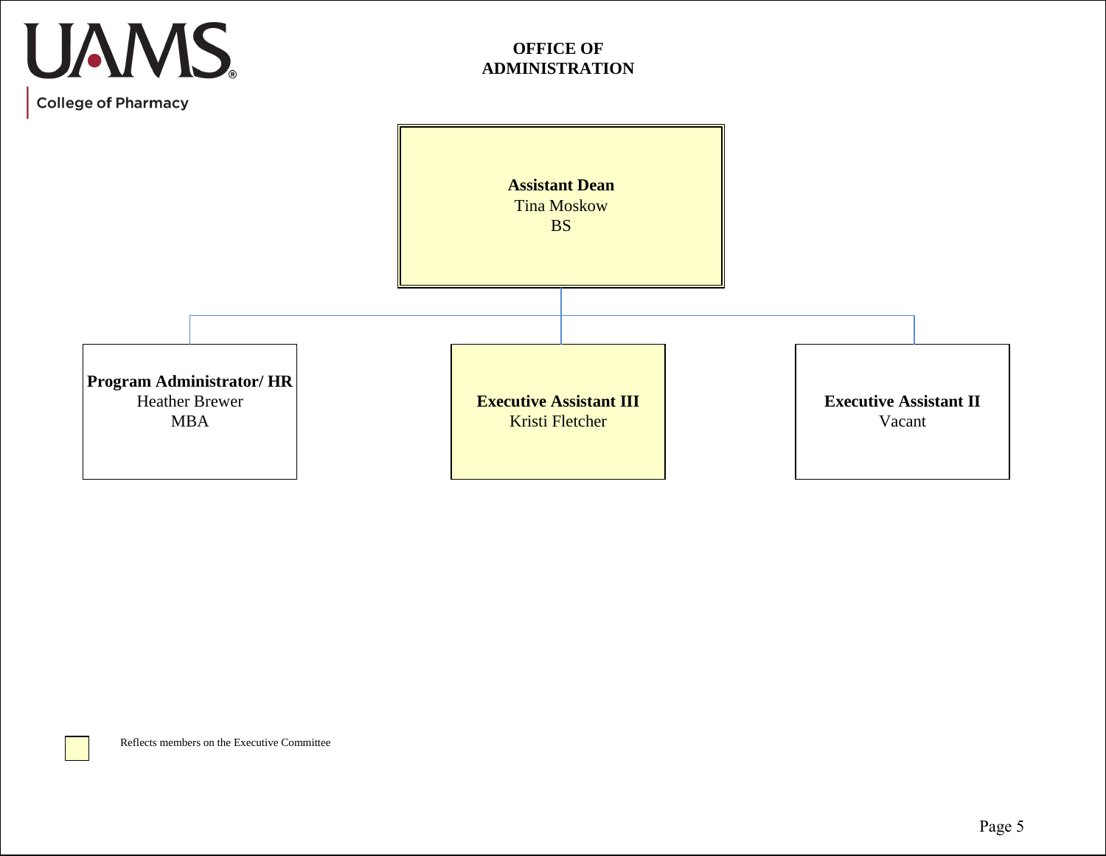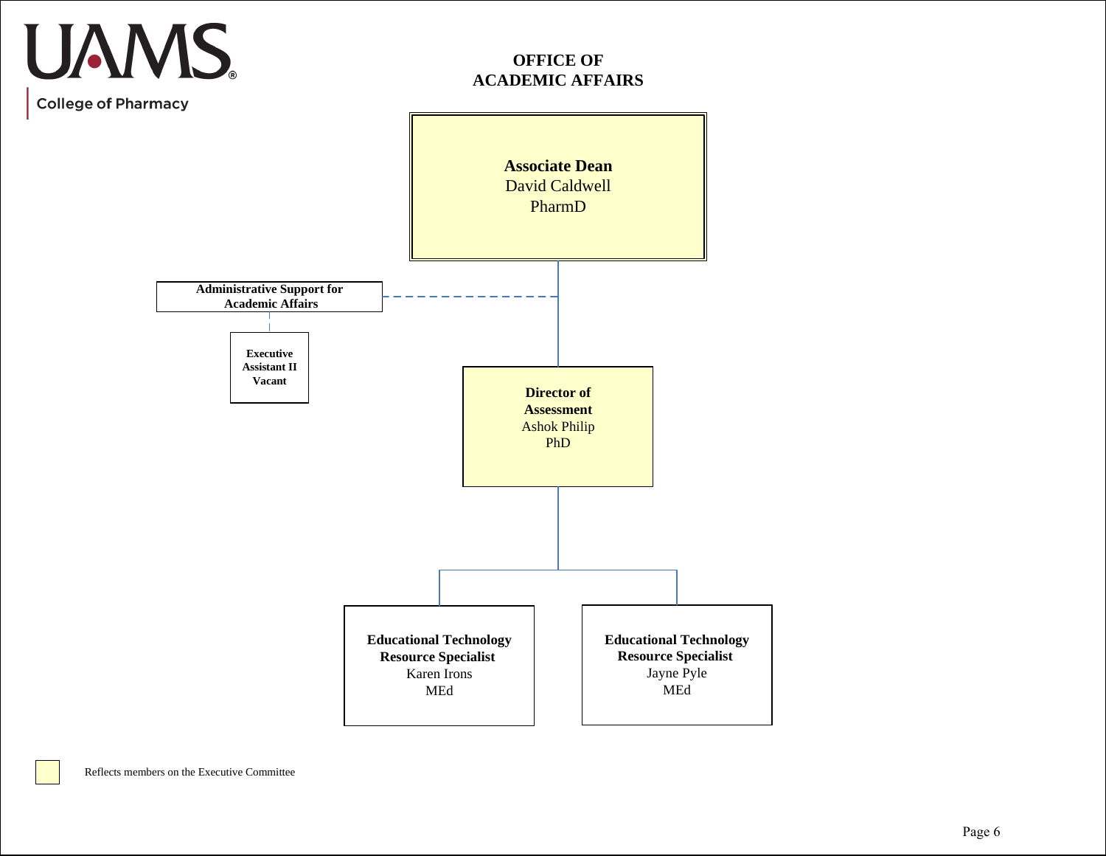## UAMS. **College of Pharmacy**

## **OFFICE OF ACADEMIC AFFAIRS**

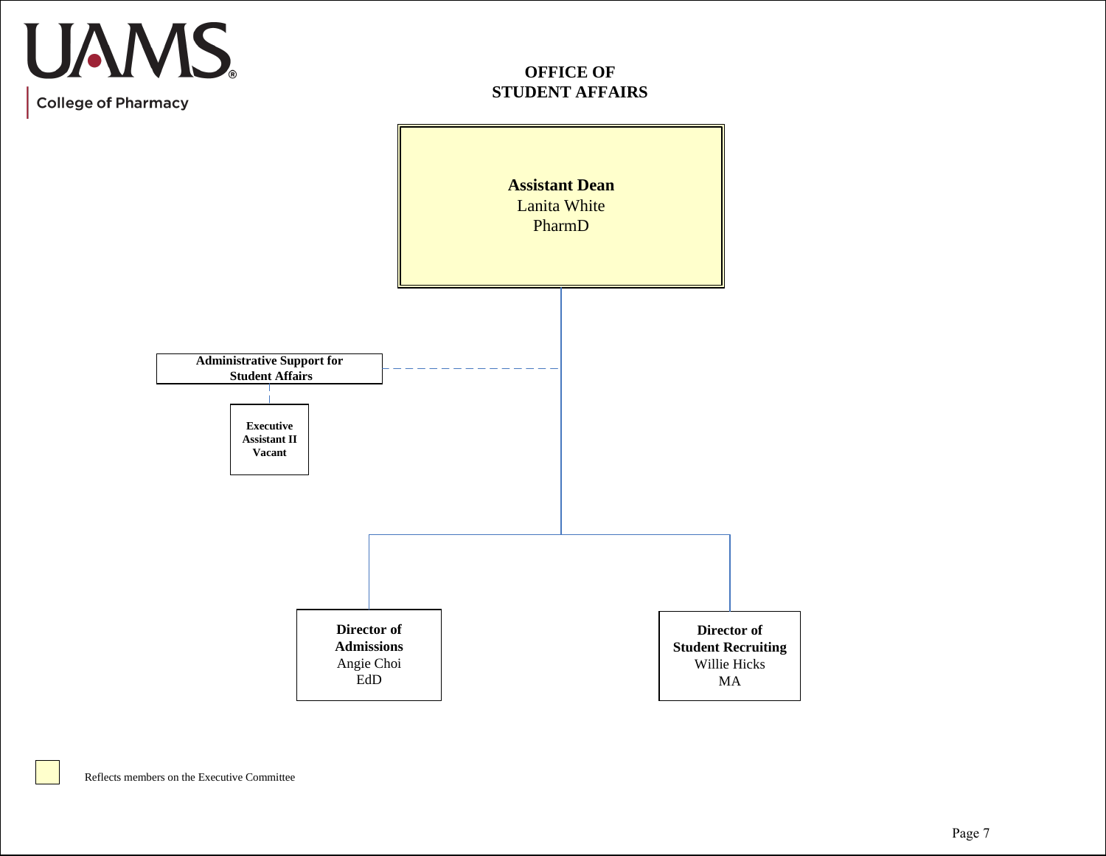## **OFFICE OF STUDENT AFFAIRS**



UAMS.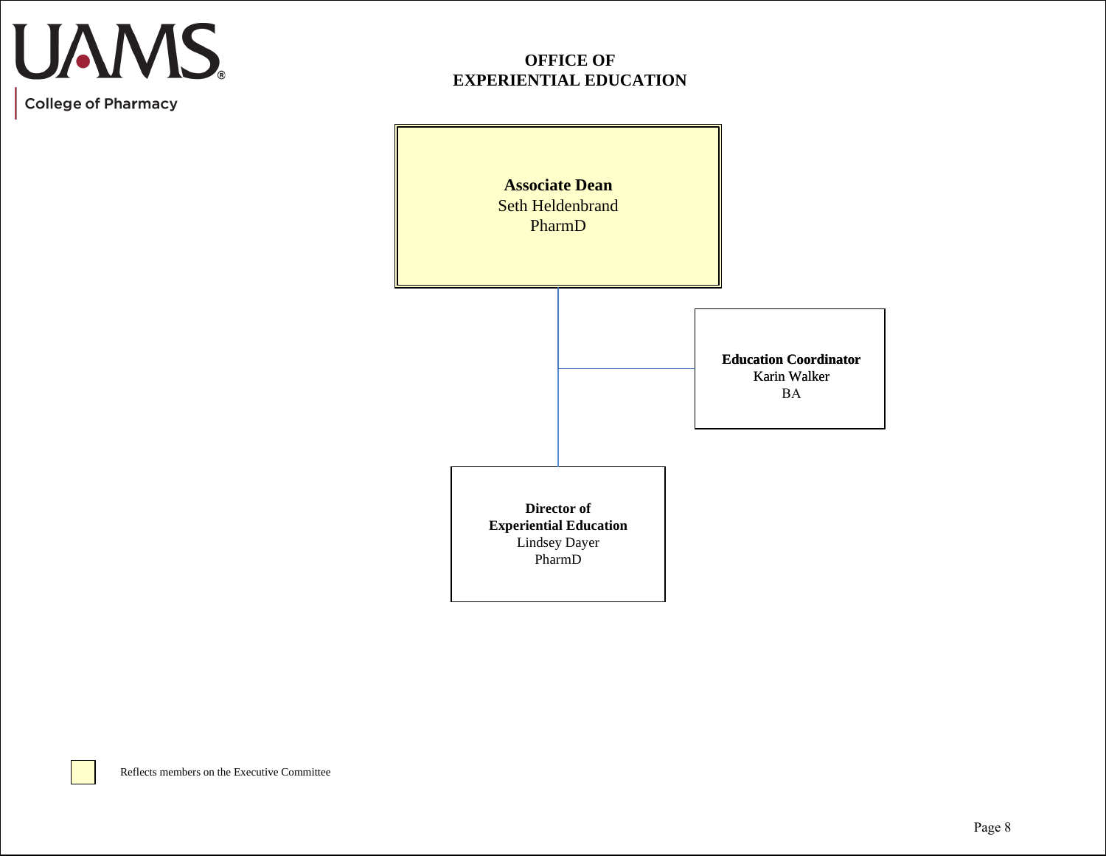## **UAMS**

**College of Pharmacy** 

## **OFFICE OF EXPERIENTIAL EDUCATION**

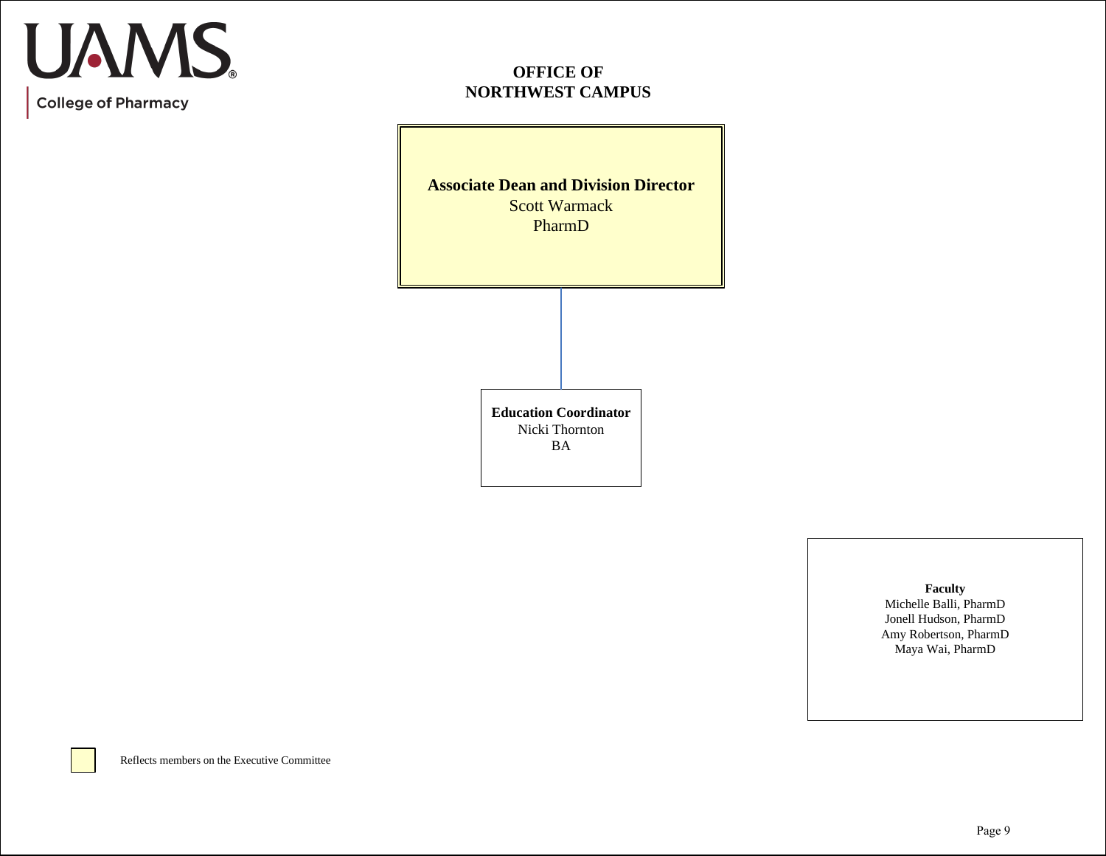## **OFFICE OF NORTHWEST CAMPUS**

**Associate Dean and Division Director** Scott Warmack PharmD

> **Education Coordinator** Nicki Thornton BA

> > **Faculty** Michelle Balli, PharmD Jonell Hudson, PharmD Amy Robertson, PharmD Maya Wai, PharmD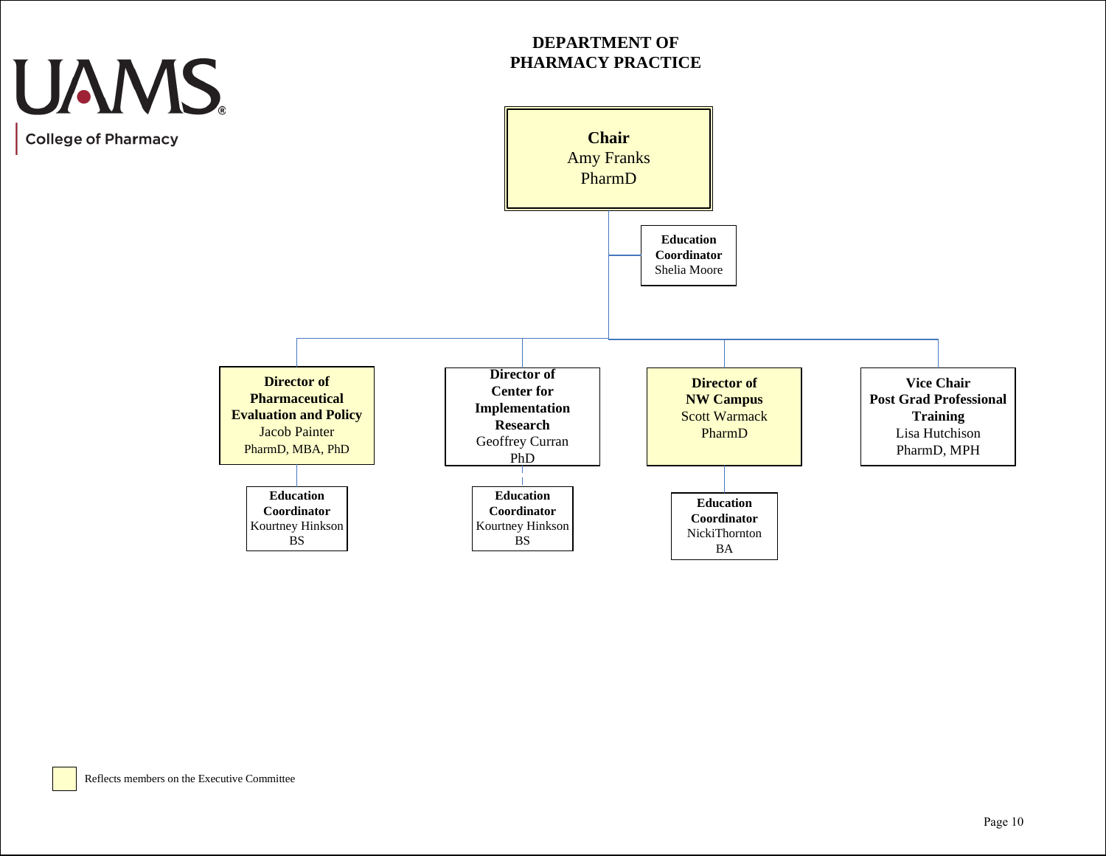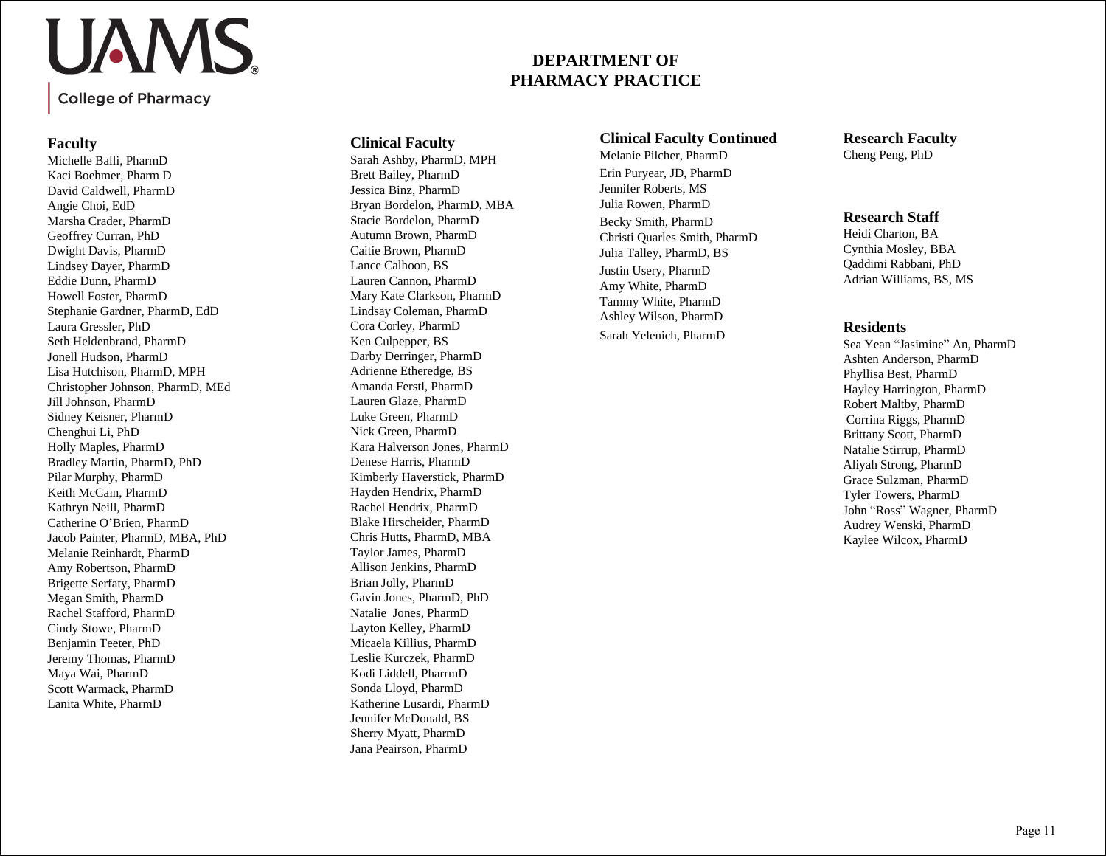## UAMS.

**College of Pharmacy** 

### **Faculty**

Michelle Balli, PharmD Kaci Boehmer, Pharm D David Caldwell, PharmD Angie Choi, EdD Marsha Crader, PharmD Geoffrey Curran, PhD Dwight Davis, PharmD Lindsey Dayer, PharmD Eddie Dunn, PharmD Howell Foster, PharmD Stephanie Gardner, PharmD, EdD Laura Gressler, PhD Seth Heldenbrand, PharmD Jonell Hudson, PharmD Lisa Hutchison, PharmD, MPH Christopher Johnson, PharmD, MEd Jill Johnson, PharmD Sidney Keisner, PharmD Chenghui Li, PhD Holly Maples, PharmD Bradley Martin, PharmD, PhD Pilar Murphy, PharmD Keith McCain, PharmD Kathryn Neill, PharmD Catherine O'Brien, PharmD Jacob Painter, PharmD, MBA, PhD Melanie Reinhardt, PharmD Amy Robertson, PharmD Brigette Serfaty, PharmD Megan Smith, PharmD Rachel Stafford, PharmD Cindy Stowe, PharmD Benjamin Teeter, PhD Jeremy Thomas, PharmD Maya Wai, PharmD Scott Warmack, PharmD Lanita White, PharmD

## **Clinical Faculty**

Sarah Ashby, PharmD, MPH Brett Bailey, PharmD Jessica Binz, PharmD Bryan Bordelon, PharmD, MBA Stacie Bordelon, PharmD Autumn Brown, PharmD Caitie Brown, PharmD Lance Calhoon, BS Lauren Cannon, PharmD Mary Kate Clarkson, PharmD Lindsay Coleman, PharmD Cora Corley, PharmD Ken Culpepper, BS Darby Derringer, PharmD Adrienne Etheredge, BS Amanda Ferstl, PharmD Lauren Glaze, PharmD Luke Green, PharmD Nick Green, PharmD Kara Halverson Jones, PharmD Denese Harris, PharmD Kimberly Haverstick, PharmD Hayden Hendrix, PharmD Rachel Hendrix, PharmD Blake Hirscheider, PharmD Chris Hutts, PharmD, MBA Taylor James, PharmD Allison Jenkins, PharmD Brian Jolly, PharmD Gavin Jones, PharmD, PhD Natalie Jones, PharmD Layton Kelley, PharmD Micaela Killius, PharmD Leslie Kurczek, PharmD Kodi Liddell, PharrmD Sonda Lloyd, PharmD Katherine Lusardi, PharmD Jennifer McDonald, BS Sherry Myatt, PharmD Jana Peairson, PharmD

### **Clinical Faculty Continued**

**DEPARTMENT OF PHARMACY PRACTICE**

> Melanie Pilcher, PharmD Erin Puryear, JD, PharmD Jennifer Roberts, MS Julia Rowen, PharmD Becky Smith, PharmD Christi Quarles Smith, PharmD Julia Talley, PharmD, BS Justin Usery, PharmD Amy White, PharmD Tammy White, PharmD Ashley Wilson, PharmD Sarah Yelenich, PharmD

**Research Faculty** Cheng Peng, PhD

### **Research Staff**

Heidi Charton, BA Cynthia Mosley, BBA Qaddimi Rabbani, PhD Adrian Williams, BS, MS

### **Residents**

Sea Yean "Jasimine" An, PharmD Ashten Anderson, PharmD Phyllisa Best, PharmD Hayley Harrington, PharmD Robert Maltby, PharmD Corrina Riggs, PharmD Brittany Scott, PharmD Natalie Stirrup, PharmD Aliyah Strong, PharmD Grace Sulzman, PharmD Tyler Towers, PharmD John "Ross" Wagner, PharmD Audrey Wenski, PharmD Kaylee Wilcox, PharmD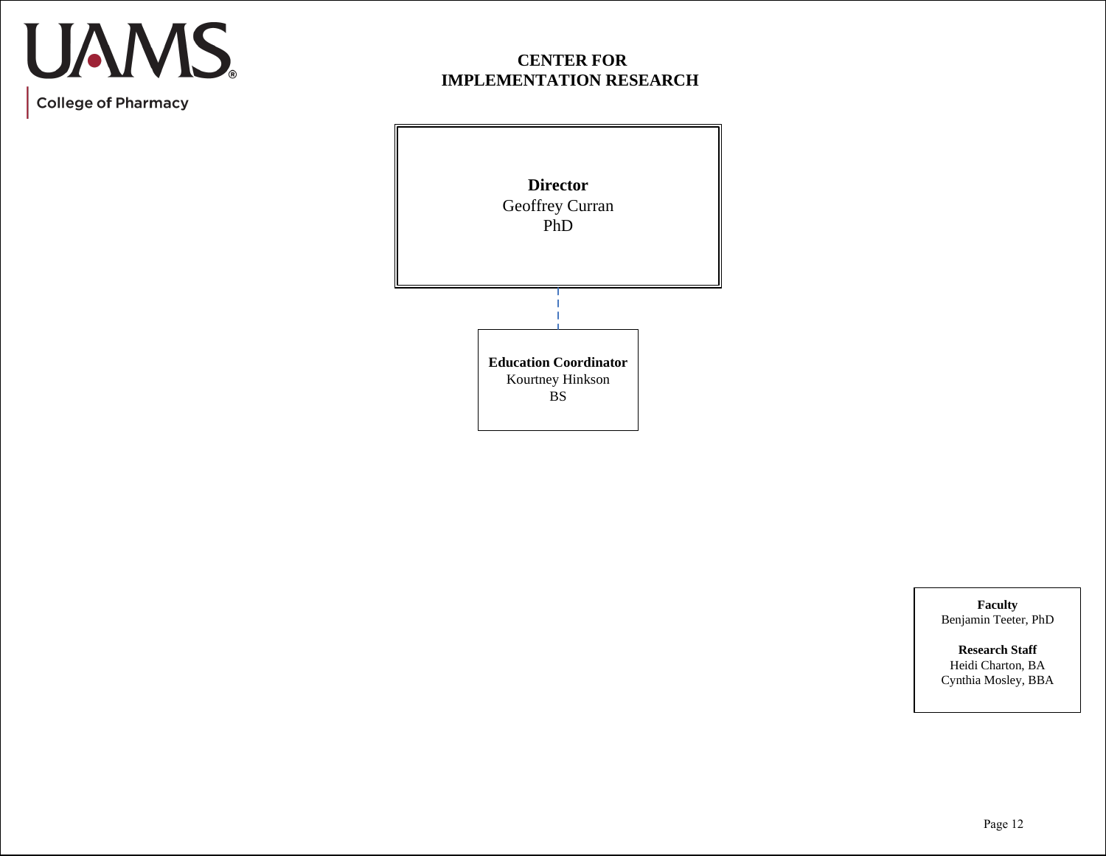## **CENTER FOR IMPLEMENTATION RESEARCH**



**Faculty** Benjamin Teeter, PhD

**Research Staff** Heidi Charton, BA Cynthia Mosley, BBA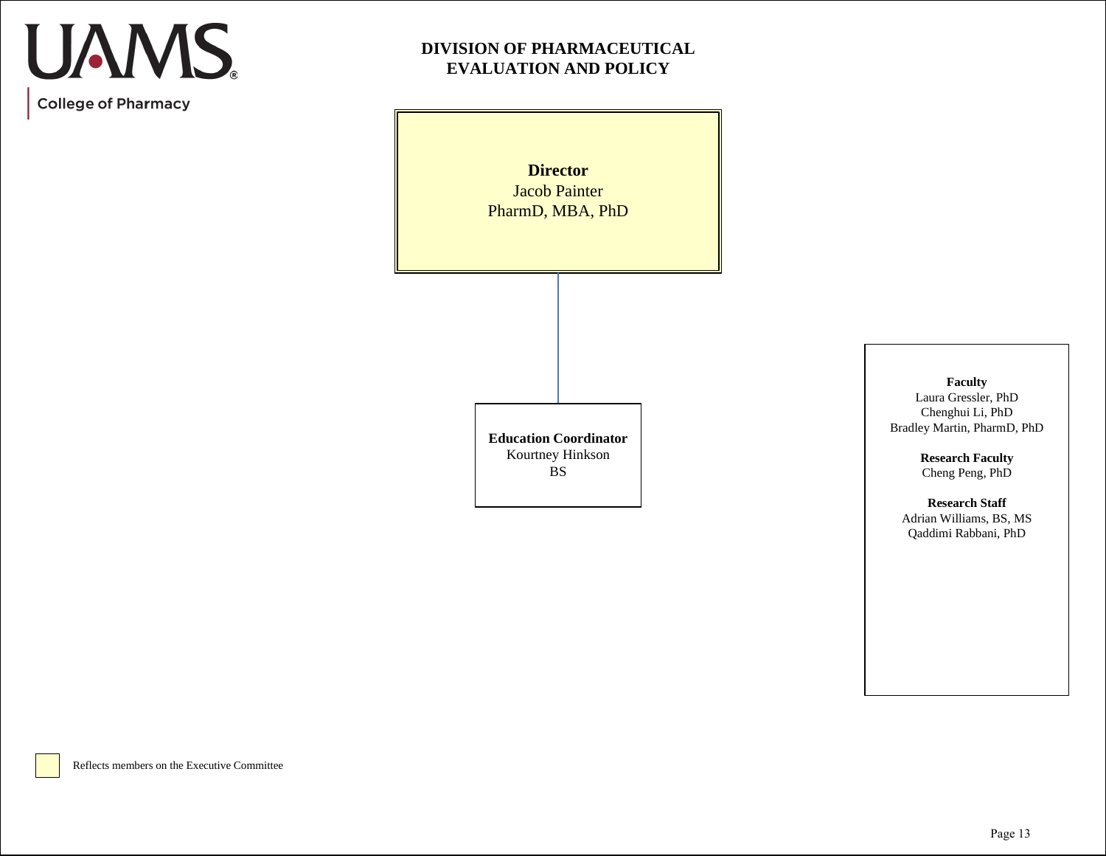**DIVISION OF PHARMACEUTICAL EVALUATION AND POLICY**

> **Director**  Jacob Painter PharmD, MBA, PhD

> **Education Coordinator** Kourtney Hinkson BS

**Faculty** Laura Gressler, PhD Chenghui Li, PhD Bradley Martin, PharmD, PhD

> **Research Faculty** Cheng Peng, PhD

**Research Staff** Adrian Williams, BS, MS Qaddimi Rabbani, PhD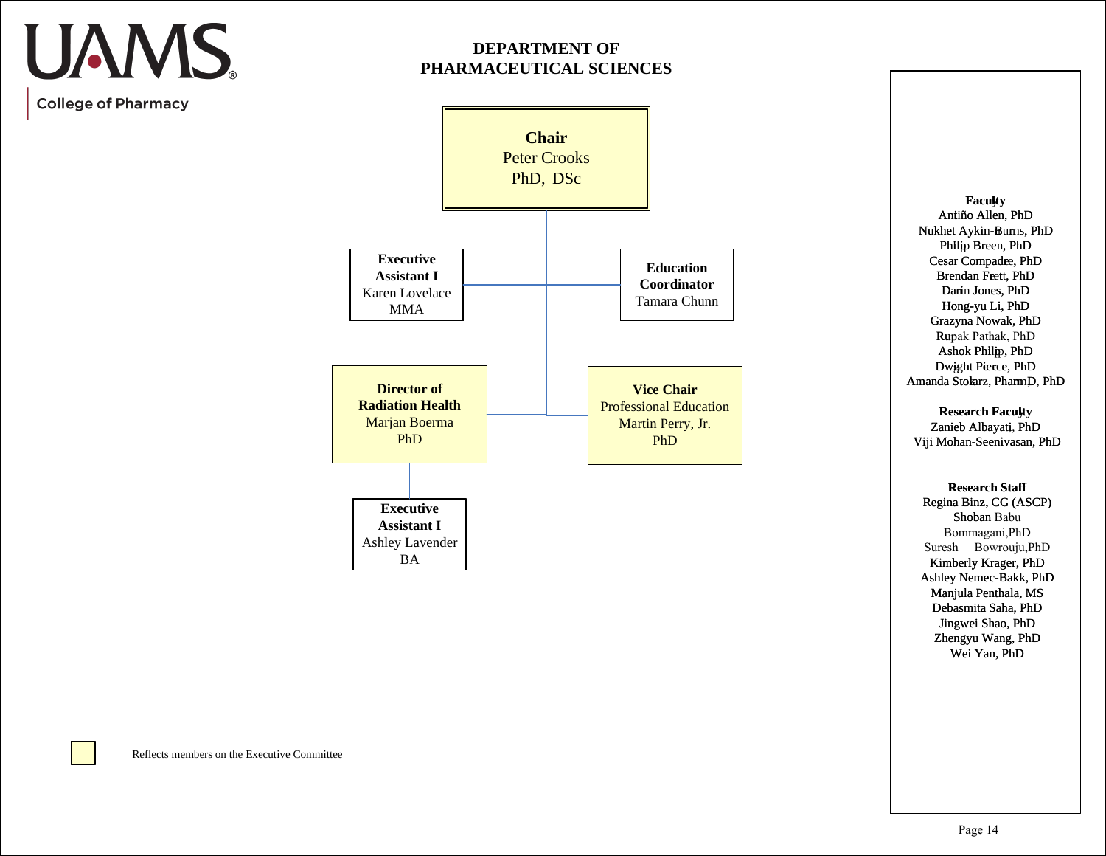## **DEPARTMENT OF PHARMACEUTICAL SCIENCES**

**College of Pharmacy** 

UAMS.



**Faculty** Antiño Allen, PhD Nukhet Aykin-Burns, PhD Philip Breen, PhD Cesar Compadre, PhD Brendan Freett, PhD Darin Jones, PhD Hong-yuLi, PhD Grazyna Nowak, PhD Rupak Pathak, PhD Ashok Philip, PhD Dwight Pierce, PhD Amanda Stolarz, PhamnD, PhD

**Research Faculty** 

Zanieb Albayati, PhD Viji Mohan-Seenivasan, PhD

#### **Research Staff**

Regina Binz, CG (ASCP) Shoban Babu Bommagani,PhD Suresh Bowrouju, PhD Kimberly Krager, PhD Ashley Nemec-Bakk, PhD Manjula Penthala, MS Debasmita Saha, PhD Jingwei Shao, PhD Zhengyu Wang, PhD Wei Yan, PhD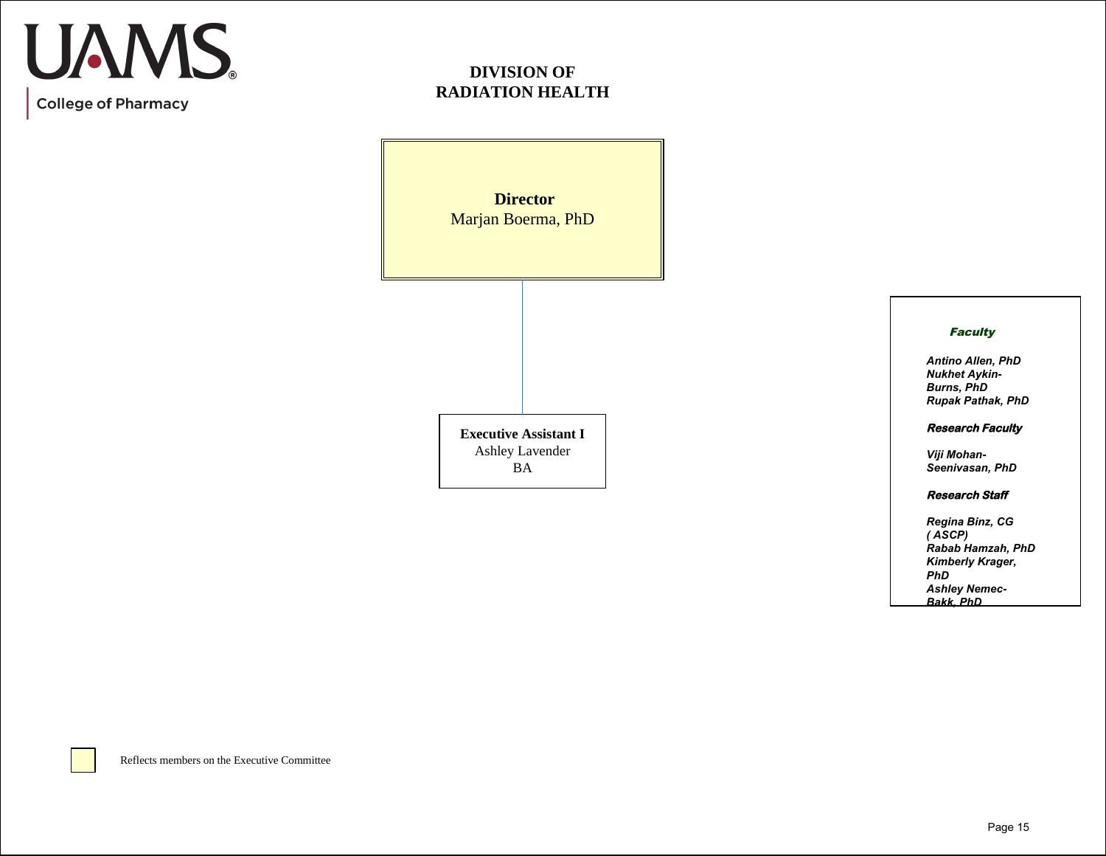## **DIVISION OF RADIATION HEALTH**

**Director**  Marjan Boerma, PhD **Executive Assistant I** Ashley Lavender BA

### **Faculty**

*Antino Allen, PhD Nukhet Aykin-Burns, PhD Rupak Pathak, PhD*

### **Research Faculty**

*Viji Mohan-Seenivasan, PhD*

#### **Research Staff**

*Regina Binz, CG ( ASCP) Rabab Hamzah, PhD Kimberly Krager, PhD Ashley Nemec-Bakk, PhD*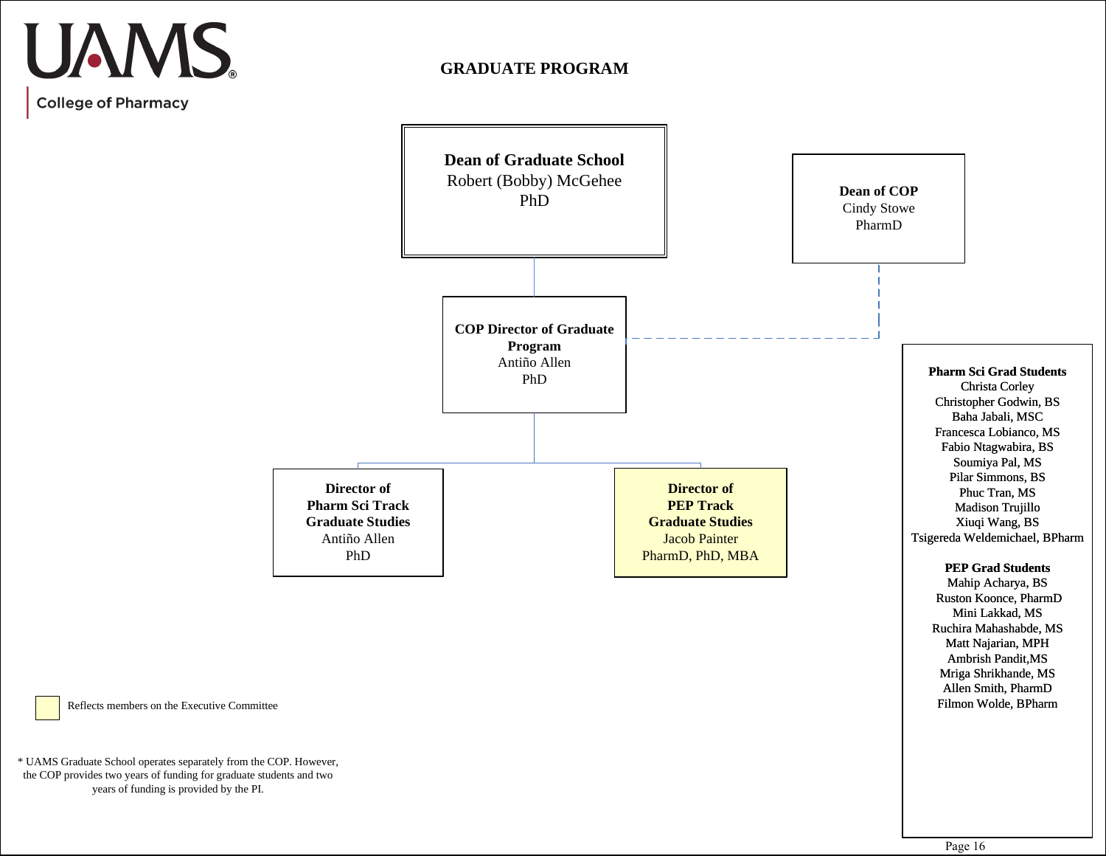## **GRADUATE PROGRAM**



Reflects members on the Executive Committee

\* UAMS Graduate School operates separately from the COP. However, the COP provides two years of funding for graduate students and two years of funding is provided by the PI.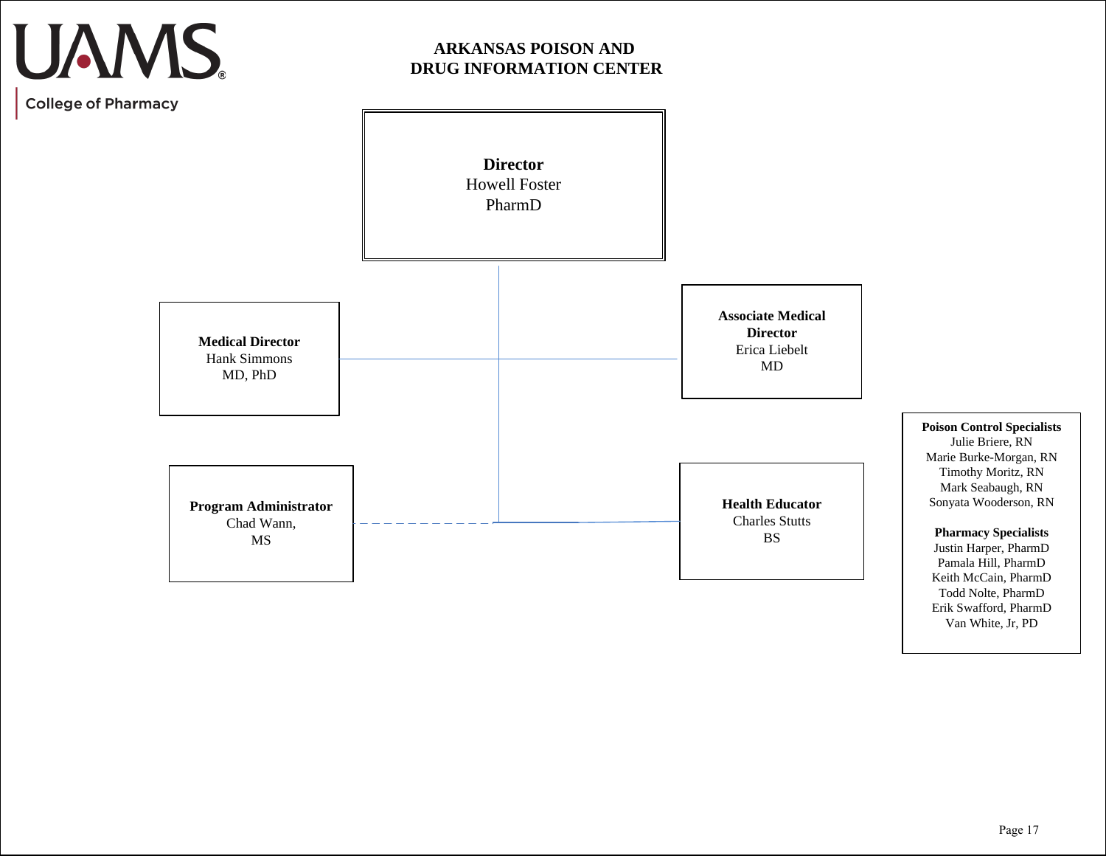## UAMS.

## **ARKANSAS POISON AND DRUG INFORMATION CENTER**

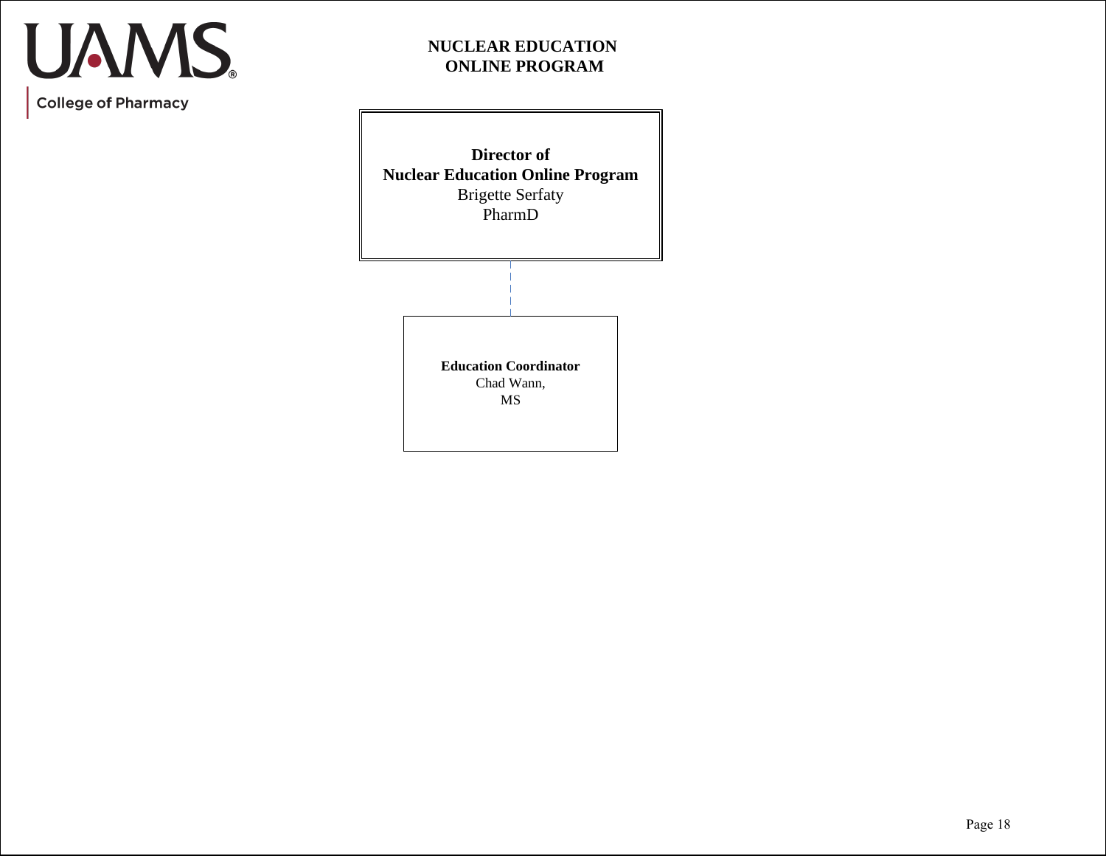## **NUCLEAR EDUCATION ONLINE PROGRAM**